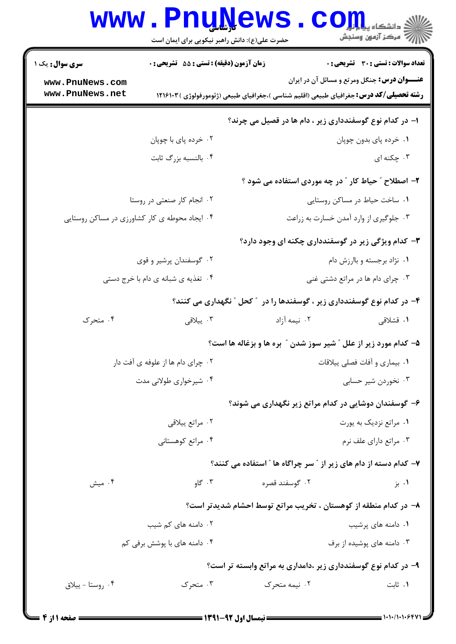## Www.PnuNews.com

حضرت علی(ع): دانش راهبر نیکویی برای ایمان است

| <b>سری سوال :</b> یک ۱                                | <b>زمان آزمون (دقیقه) : تستی : 55 تشریحی : 0</b> |                |                             | <b>تعداد سوالات : تستی : 30 ٪ تشریحی : 0</b>                                                    |
|-------------------------------------------------------|--------------------------------------------------|----------------|-----------------------------|-------------------------------------------------------------------------------------------------|
| www.PnuNews.com                                       |                                                  |                |                             | <b>عنـــوان درس:</b> جنگل ومرتع و مسائل آن در ایران                                             |
| www.PnuNews.net                                       |                                                  |                |                             | <b>رشته تحصیلی/کد درس:</b> جغرافیای طبیعی (اقلیم شناسی )،جغرافیای طبیعی (ژئومورفولوژی ) ۱۲۱۶۱۰۳ |
|                                                       |                                                  |                |                             | ا- در کدام نوع گوسفندداری زیر ، دام ها در قصیل می چرند؟                                         |
|                                                       | ۰۲ خرده پای با چوپان                             |                |                             | ٠١ خرده پاي بدون چوپان                                                                          |
|                                                       | ۰۴ بالنسبه بزرگ ثابت                             |                |                             | ۰۳ چکنه ای                                                                                      |
|                                                       |                                                  |                |                             | ۲- اصطلاح ″ حیاط کار ″ در چه موردی استفاده می شود ؟                                             |
|                                                       | ۰۲ انجام کار صنعتی در روستا                      |                |                             | ٠١. ساخت حياط در مساكن روستايي                                                                  |
| ۰۴ ایجاد محوطه ی کار کشاورزی در مساکن روستایی         |                                                  |                |                             | ۰۳ جلوگیری از وارد آمدن خسارت به زراعت                                                          |
|                                                       |                                                  |                |                             | ۳- کدام ویژگی زیر در گوسفندداری چکنه ای وجود دارد؟                                              |
| ۰۲ گوسفندان پرشیر و قوی                               |                                                  |                | ۰۱ نژاد برجسته و باارزش دام |                                                                                                 |
|                                                       | ۰۴ تغذیه ی شبانه ی دام با خرج دستی               |                |                             | ۰۳ چرای دام ها در مراتع دشتی غنی                                                                |
|                                                       |                                                  |                |                             | ۴– در کدام نوع گوسفندداری زیر ، گوسفندها را در ″ کحل ″ نگهداری می کنند؟                         |
| ۰۴ متحرک                                              | ۰۳ ييلاقى                                        |                | ۰۲ نیمه آزاد                | ۰۱ قشلاقی                                                                                       |
|                                                       |                                                  |                |                             | ۵– کدام مورد زیر از علل ″ شیر سوز شدن ″ بره ها و بزغاله ها است؟                                 |
|                                                       | ۰۲ چرای دام ها از علوفه ی آفت دار                |                |                             | ۰۱ بیماری و آفات فصلی ییلاقات                                                                   |
|                                                       | ۰۴ شیرخواری طولانی مدت                           |                |                             | ۰۳ نخوردن شیر حسابی                                                                             |
| ۶– گوسفندان دوشایی در کدام مراتع زیر نگهداری می شوند؟ |                                                  |                |                             |                                                                                                 |
|                                                       | ۰۲ مراتع پیلاقی                                  |                |                             | ۰۱ مراتع نزدیک به پورت                                                                          |
|                                                       | ۰۴ مراتع کوهستانی                                |                |                             | ۰۳ مراتع دارای علف نرم                                                                          |
|                                                       |                                                  |                |                             | ۷- کدام دسته از دام های زیر از ″ سر چراگاه ها ″ استفاده می کنند؟                                |
| ۰۴ میش                                                | ۰۳ گاو                                           | ۰۲ گوسفند قصره |                             | ۰۱ بز                                                                                           |
|                                                       |                                                  |                |                             | ۸– در کدام منطقه از کوهستان ، تخریب مراتع توسط احشام شدیدتر است؟                                |
|                                                       | ۰۲ دامنه های کم شیب                              |                |                             | ۰۱ دامنه های پرشیب                                                                              |
|                                                       | ۰۴ دامنه های با پوشش برفی کم                     |                |                             | ۰۳ دامنه های پوشیده از برف                                                                      |
|                                                       |                                                  |                |                             | ۹– در کدام نوع گوسفندداری زیر ،دامداری به مراتع وابسته تر است؟                                  |
| ۰۴ روستا - پيلاق                                      | ۰۳ متحرک                                         | ۰۲ نیمه متحرک  |                             | ۰۱ ثابت                                                                                         |
|                                                       |                                                  |                |                             |                                                                                                 |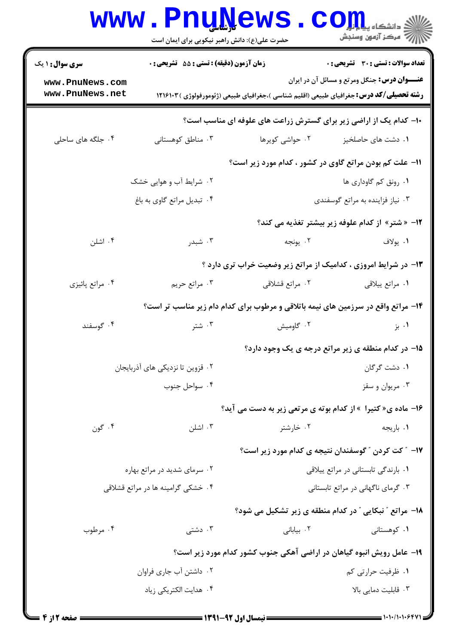|                                                                   | <b>www.PnuNews</b><br>حضرت علی(ع): دانش راهبر نیکویی برای ایمان است |                                                                                                 | ارد دانشگاه پیاه <mark>بر</mark><br>ارد دانشگاه پیاه <del>بو</del> ر |  |  |
|-------------------------------------------------------------------|---------------------------------------------------------------------|-------------------------------------------------------------------------------------------------|----------------------------------------------------------------------|--|--|
| <b>سری سوال : ۱ یک</b>                                            | <b>زمان آزمون (دقیقه) : تستی : 55 تشریحی : 0</b>                    |                                                                                                 | <b>تعداد سوالات : تستی : 30 ٪ تشریحی : 0</b>                         |  |  |
| www.PnuNews.com<br>www.PnuNews.net                                |                                                                     | <b>رشته تحصیلی/گد درس:</b> جغرافیای طبیعی (اقلیم شناسی )،جغرافیای طبیعی (ژئومورفولوژی ) ۱۲۱۶۱۰۳ | <b>عنـــوان درس:</b> جنگل ومرتع و مسائل آن در ایران                  |  |  |
| ۱۰- کدام یک از اراضی زیر برای گسترش زراعت های علوفه ای مناسب است؟ |                                                                     |                                                                                                 |                                                                      |  |  |
| ۰۴ جلگه های ساحلی                                                 | ۰۳ مناطق کوهستانی                                                   | ۰۲ حواشی کویرها                                                                                 | ۰۱ دشت های حاصلخیز                                                   |  |  |
|                                                                   |                                                                     | 11- علت کم بودن مراتع گاوی در کشور ، کدام مورد زیر است؟                                         |                                                                      |  |  |
| ۰۲ شرایط آب و هوایی خشک                                           |                                                                     | ٠١. رونق كم گاوداري ها                                                                          |                                                                      |  |  |
|                                                                   | ۰۴ تبدیل مراتع گاوی به باغ                                          |                                                                                                 | ۰۳ نیاز فزاینده به مراتع گوسفندی                                     |  |  |
|                                                                   |                                                                     |                                                                                                 | ۱۲- «شتر» از کدام علوفه زیر بیشتر تغذیه می کند؟                      |  |  |
| ۰۴ اشلن                                                           | ۰۳ شبدر                                                             | ٢. يونجه                                                                                        | ۰۱ يولاف                                                             |  |  |
|                                                                   |                                                                     | ۱۳- در شرایط امروزی ، کدامیک از مراتع زیر وضعیت خراب تری دارد ؟                                 |                                                                      |  |  |
| ۰۴ مراتع پائیزی                                                   | ۰۳ مراتع حريم                                                       | ۰۲ مراتع قشلاقی                                                                                 | ٠١ مراتع ييلاقي                                                      |  |  |
|                                                                   |                                                                     | ۱۴- مراتع واقع در سرزمین های نیمه باتلاقی و مرطوب برای کدام دام زیر مناسب تر است؟               |                                                                      |  |  |
| ۰۴ گوسفند                                                         | ۰۳ شتر                                                              | ۰۲ گاومیش                                                                                       | ۰۱ بز                                                                |  |  |
|                                                                   |                                                                     |                                                                                                 | 1۵- در کدام منطقه ی زیر مراتع درجه ی یک وجود دارد؟                   |  |  |
|                                                                   | ۰۲ قزوین تا نزدیکی های آذربایجان                                    | ۰۱ دشت گرگان                                                                                    |                                                                      |  |  |
| ۰۴ سواحل جنوب                                                     |                                                                     |                                                                                                 | ۰۳ مربوان و سقز                                                      |  |  |
|                                                                   |                                                                     | ۱۶- ماده ی« کتیرا » از کدام بوته ی مرتعی زیر به دست می آید؟                                     |                                                                      |  |  |
| ۰۴ گون                                                            | ۰۳ اشلن                                                             | ۰۲ خارشتر                                                                                       | ۰۱ باريجه                                                            |  |  |
|                                                                   |                                                                     |                                                                                                 | ۱۷– ″ کت کردن ″ گوسفندان نتیجه ی کدام مورد زیر است؟                  |  |  |
|                                                                   | ۰۲ سرمای شدید در مراتع بهاره                                        | ٠١ بارندگی تابستانی در مراتع ييلاقی                                                             |                                                                      |  |  |
|                                                                   | ۰۴ خشکی گرامینه ها در مراتع قشلاقی                                  |                                                                                                 | ۰۳ گرمای ناگهانی در مراتع تابستانی                                   |  |  |
|                                                                   |                                                                     | 18- مراتع " نبکایی " در کدام منطقه ی زیر تشکیل می شود؟                                          |                                                                      |  |  |
| ۰۴ مرطوب                                                          | دشتی $\cdot^{\mathsf{r}}$                                           | ۰۲ بياباني                                                                                      | ۰۱ کوهستانی                                                          |  |  |
|                                                                   |                                                                     | ۱۹- عامل رویش انبوه گیاهان در اراضی آهکی جنوب کشور کدام مورد زیر است؟                           |                                                                      |  |  |
|                                                                   | ۰۲ داشتن آب جاری فراوان                                             |                                                                                                 | ۰۱ ظرفیت حرارتی کم                                                   |  |  |
|                                                                   | ۰۴ هدایت الکتریکی زیاد                                              |                                                                                                 | ۰۳ قابلیت دمایی بالا                                                 |  |  |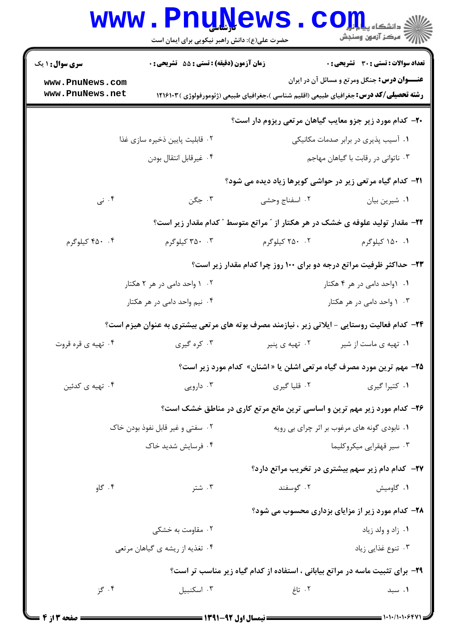|                                                              | <b>www.PnuNews</b>                                                                           |                                                                                                 | الله دانشکاه پیاپایی<br>الله عرکز آزمهن وسنجش                                                       |
|--------------------------------------------------------------|----------------------------------------------------------------------------------------------|-------------------------------------------------------------------------------------------------|-----------------------------------------------------------------------------------------------------|
|                                                              | حضرت علی(ع): دانش راهبر نیکویی برای ایمان است                                                |                                                                                                 |                                                                                                     |
| <b>سری سوال : ۱ یک</b><br>www.PnuNews.com<br>www.PnuNews.net | زمان آزمون (دقیقه) : تستی : 55 آتشریحی : 0                                                   | <b>رشته تحصیلی/کد درس:</b> جغرافیای طبیعی (اقلیم شناسی )،جغرافیای طبیعی (ژئومورفولوژی ) ۱۲۱۶۱۰۳ | <b>تعداد سوالات : تستی : 30 ٪ تشریحی : 0</b><br><b>عنـــوان درس:</b> جنگل ومرتع و مسائل آن در ایران |
|                                                              |                                                                                              | ۲۰- کدام مورد زیر جزو معایب گیاهان مرتعی ریزوم دار است؟                                         |                                                                                                     |
|                                                              | ۰۲ قابلیت پایین ذخیره سازی غذا                                                               |                                                                                                 | ۰۱ آسیب پذیری در برابر صدمات مکانیکی                                                                |
| ۰۴ غيرقابل انتقال بودن                                       |                                                                                              | ۰۳ ناتوانی در رقابت با گیاهان مهاجم                                                             |                                                                                                     |
|                                                              |                                                                                              | <b>۲۱</b> - کدام گیاه مرتعی زیر در حواشی کویرها زیاد دیده می شود؟                               |                                                                                                     |
| ۰۴ نی                                                        | ۰۳ جگن                                                                                       | ۰۲ اسفناج وحشى                                                                                  | ٠١ شيرين بيان                                                                                       |
|                                                              |                                                                                              | ۲۲- مقدار تولید علوفه ی خشک در هر هکتار از " مراتع متوسط " کدام مقدار زیر است؟                  |                                                                                                     |
| ۴. ۴۵۰ کیلوگرم                                               | ۰۴ کیلوگرم                                                                                   | ۰۲ کیلوگرم                                                                                      | ۰۱ ۱۵۰ کیلوگرم                                                                                      |
|                                                              |                                                                                              | ۲۳- حداکثر ظرفیت مراتع درجه دو برای ۱۰۰ روز چرا کدام مقدار زیر است؟                             |                                                                                                     |
| ۰۲ ۱ واحد دامی در هر ۲ هکتار                                 |                                                                                              | ۰۱ ۱واحد دامی در هر ۴ هکتار                                                                     |                                                                                                     |
|                                                              | ۴. نیم واحد دامی در هر هکتار                                                                 | ۰۳ راحد دامی در هر هکتار                                                                        |                                                                                                     |
|                                                              | ۲۴- کدام فعالیت روستایی - ایلاتی زیر ، نیازمند مصرف بوته های مرتعی بیشتری به عنوان هیزم است؟ |                                                                                                 |                                                                                                     |
| ۰۴ تهیه ی قره قروت                                           | ۰۳ کره گیری                                                                                  | ۰۲ تهیه ی پنیر                                                                                  | ۰۱ تهیه ی ماست از شیر                                                                               |
|                                                              |                                                                                              | <b>۲۵</b> - مهم ترین مورد مصرف گیاه مرتعی اشلن یا « اشنان» کدام مورد زیر است؟                   |                                                                                                     |
| ۰۴ تهیه ی کدئین                                              | ۰۳ دارویی                                                                                    | ۰۲ قلیا گیری                                                                                    | ۰۱ کتیرا گیری                                                                                       |
|                                                              |                                                                                              | ۲۶- کدام مورد زیر مهم ترین و اساسی ترین مانع مرتع کاری در مناطق خشک است؟                        |                                                                                                     |
|                                                              | ۰۲ سفتی و غیر قابل نفوذ بودن خاک                                                             |                                                                                                 | ۰۱ نابودي گونه هاي مرغوب بر اثر چراي بي رويه                                                        |
| ۰۴ فرسایش شدید خاک                                           |                                                                                              | ۰۳ سیر قهقرایی میکروکلیما                                                                       |                                                                                                     |
|                                                              |                                                                                              |                                                                                                 | <b>۲۷- کدام دام زیر سهم بیشتری در تخریب مراتع دارد؟</b>                                             |
| ۰۴ گاو                                                       | ۰۳ شتر                                                                                       | ۰۲ گوسفند                                                                                       | ۰۱ گاومیش                                                                                           |
|                                                              |                                                                                              |                                                                                                 |                                                                                                     |
|                                                              | ۰۲ مقاومت به خشکی                                                                            |                                                                                                 | <b>۲۸- کدام مورد زیر از مزایای بزداری محسوب می شود؟</b><br>۰۱ زاد و ولد زياد                        |
|                                                              | ۰۴ تغذیه از ریشه ی گیاهان مرتعی                                                              |                                                                                                 | ۰۳ تنوع غذایی زیاد                                                                                  |
|                                                              |                                                                                              | ۲۹- برای تثبیت ماسه در مراتع بیابانی ، استفاده از کدام گیاه زیر مناسب تر است؟                   |                                                                                                     |
| ۰۴ گز                                                        | ۰۳ اسکنبیل                                                                                   | ۰۲ تاغ                                                                                          | ۰۱ سبد                                                                                              |
|                                                              |                                                                                              |                                                                                                 |                                                                                                     |